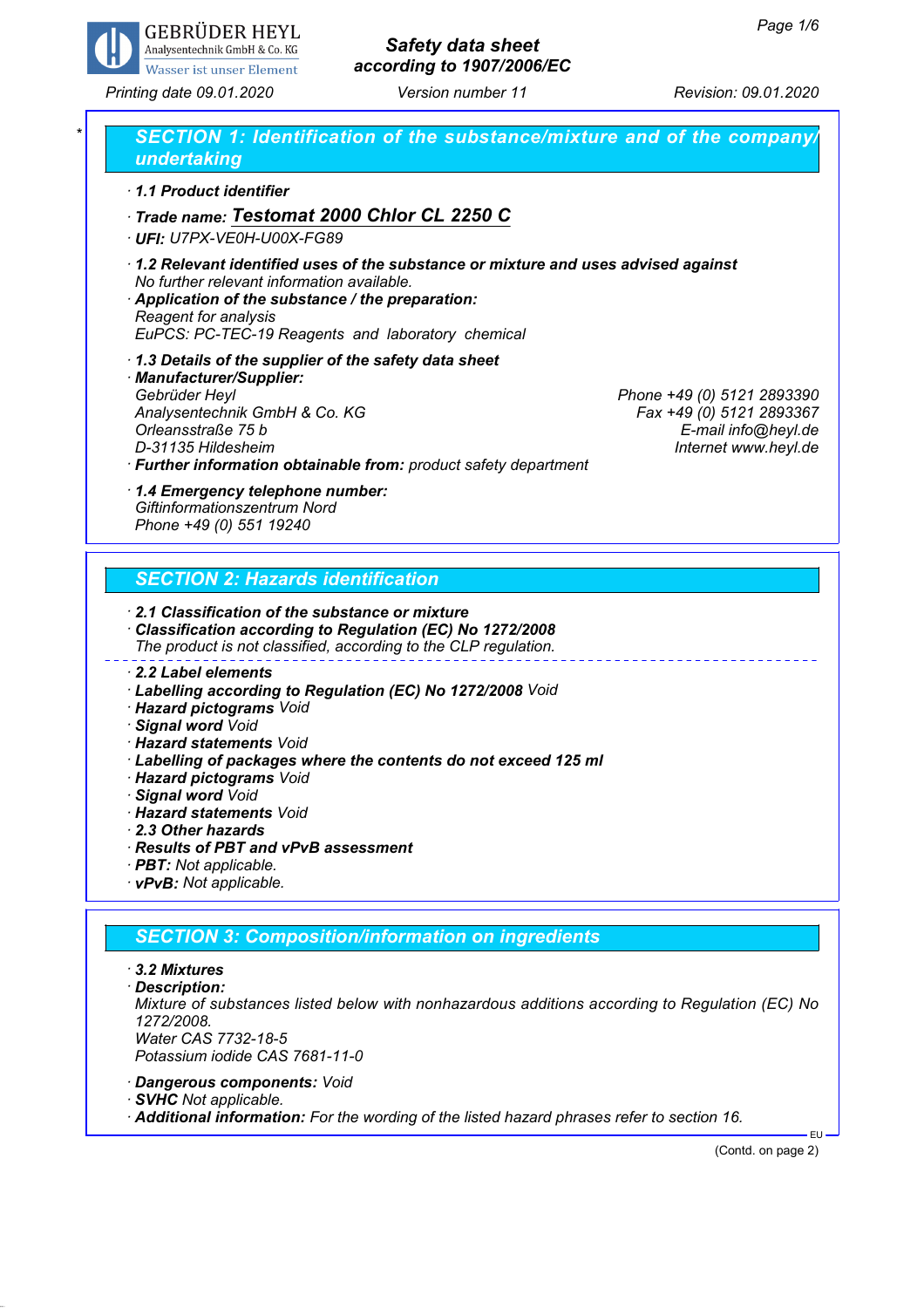

## *Safety data sheet according to 1907/2006/EC*

*Printing date 09.01.2020 Version number 11 Revision: 09.01.2020*

| 1.1 Product identifier                                                                                                                                                                                                                                                                                                                                                            |                                                                                                       |  |
|-----------------------------------------------------------------------------------------------------------------------------------------------------------------------------------------------------------------------------------------------------------------------------------------------------------------------------------------------------------------------------------|-------------------------------------------------------------------------------------------------------|--|
| Trade name: Testomat 2000 Chlor CL 2250 C<br>· UFI: U7PX-VE0H-U00X-FG89                                                                                                                                                                                                                                                                                                           |                                                                                                       |  |
| 1.2 Relevant identified uses of the substance or mixture and uses advised against<br>No further relevant information available.<br>Application of the substance / the preparation:<br>Reagent for analysis<br>EuPCS: PC-TEC-19 Reagents and laboratory chemical                                                                                                                   |                                                                                                       |  |
| 1.3 Details of the supplier of the safety data sheet<br>· Manufacturer/Supplier:<br>Gebrüder Heyl<br>Analysentechnik GmbH & Co. KG<br>Orleansstraße 75 b<br>D-31135 Hildesheim<br>· Further information obtainable from: product safety department                                                                                                                                | Phone +49 (0) 5121 2893390<br>Fax +49 (0) 5121 2893367<br>E-mail info@heyl.de<br>Internet www.heyl.de |  |
| 1.4 Emergency telephone number:<br>Giftinformationszentrum Nord<br>Phone +49 (0) 551 19240                                                                                                                                                                                                                                                                                        |                                                                                                       |  |
| <b>SECTION 2: Hazards identification</b>                                                                                                                                                                                                                                                                                                                                          |                                                                                                       |  |
| 2.1 Classification of the substance or mixture<br>Classification according to Regulation (EC) No 1272/2008<br>The product is not classified, according to the CLP regulation.                                                                                                                                                                                                     |                                                                                                       |  |
| 2.2 Label elements<br>· Labelling according to Regulation (EC) No 1272/2008 Void<br>· Hazard pictograms Void<br>· Signal word Void<br>· <b>Hazard statements</b> Void<br>· Labelling of packages where the contents do not exceed 125 ml<br>· Hazard pictograms Void<br>· Signal word Void<br>· Hazard statements Void<br>2.3 Other hazards<br>Results of PBT and vPvB assessment |                                                                                                       |  |

*· vPvB: Not applicable.*

### *SECTION 3: Composition/information on ingredients*

#### *· 3.2 Mixtures*

*· Description: Mixture of substances listed below with nonhazardous additions according to Regulation (EC) No 1272/2008. Water CAS 7732-18-5 Potassium iodide CAS 7681-11-0*

- *· Dangerous components: Void*
- *· SVHC Not applicable.*
- *· Additional information: For the wording of the listed hazard phrases refer to section 16.*

(Contd. on page 2)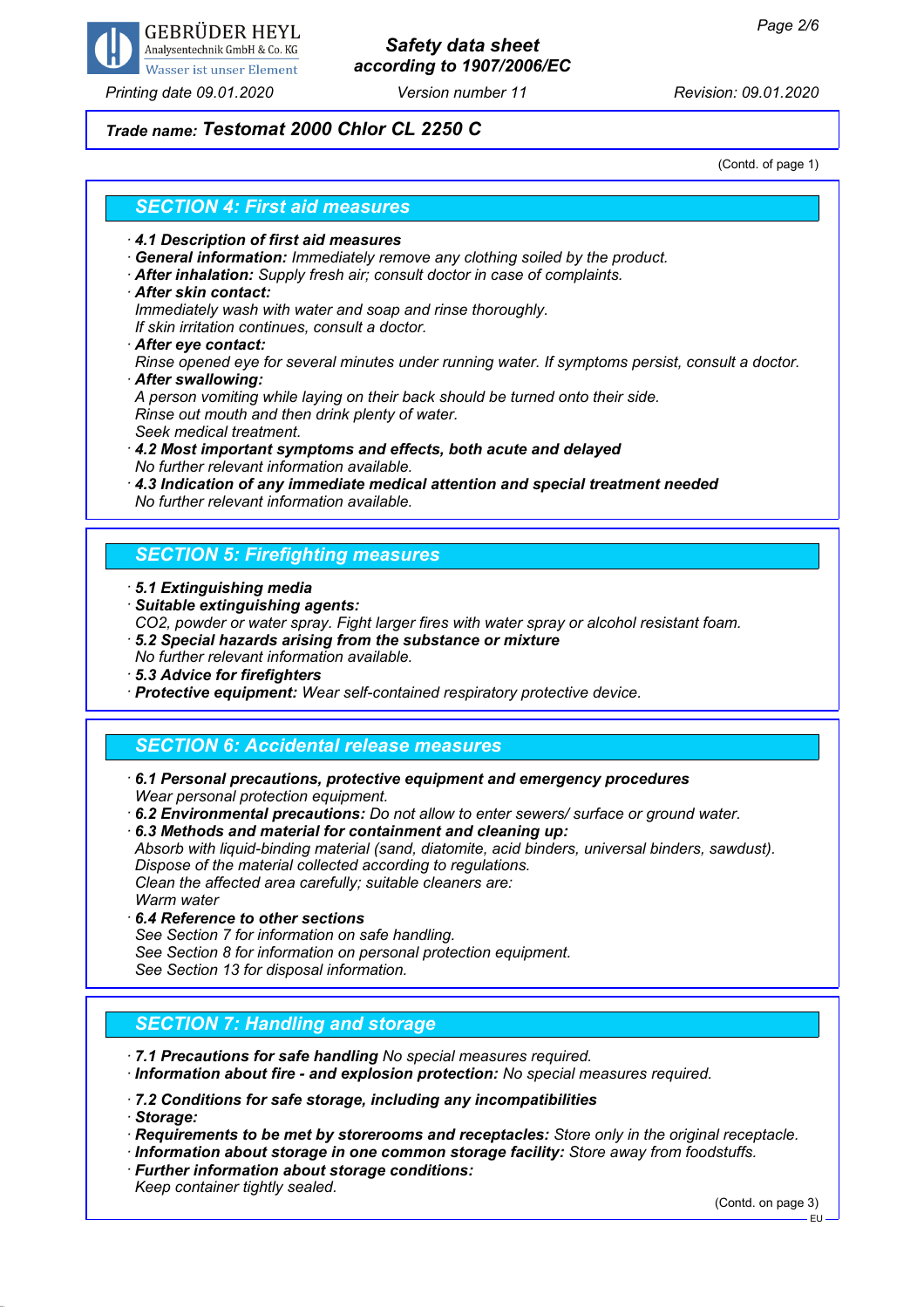

#### *Printing date 09.01.2020 Version number 11 Revision: 09.01.2020*

## *Safety data sheet according to 1907/2006/EC*

#### *Trade name: Testomat 2000 Chlor CL 2250 C*

(Contd. of page 1)

#### *SECTION 4: First aid measures*

- *· 4.1 Description of first aid measures*
- *· General information: Immediately remove any clothing soiled by the product.*
- *· After inhalation: Supply fresh air; consult doctor in case of complaints.*
- *· After skin contact:*

*Immediately wash with water and soap and rinse thoroughly.*

*If skin irritation continues, consult a doctor.*

*· After eye contact:*

*Rinse opened eye for several minutes under running water. If symptoms persist, consult a doctor. · After swallowing:*

*A person vomiting while laying on their back should be turned onto their side. Rinse out mouth and then drink plenty of water.*

- *Seek medical treatment.*
- *· 4.2 Most important symptoms and effects, both acute and delayed No further relevant information available.*
- *· 4.3 Indication of any immediate medical attention and special treatment needed No further relevant information available.*

### *SECTION 5: Firefighting measures*

- *· 5.1 Extinguishing media*
- *· Suitable extinguishing agents:*
- *CO2, powder or water spray. Fight larger fires with water spray or alcohol resistant foam.*
- *· 5.2 Special hazards arising from the substance or mixture*
- *No further relevant information available.*
- *· 5.3 Advice for firefighters*
- *· Protective equipment: Wear self-contained respiratory protective device.*

#### *SECTION 6: Accidental release measures*

- *· 6.1 Personal precautions, protective equipment and emergency procedures Wear personal protection equipment.*
- *· 6.2 Environmental precautions: Do not allow to enter sewers/ surface or ground water.*

*· 6.3 Methods and material for containment and cleaning up: Absorb with liquid-binding material (sand, diatomite, acid binders, universal binders, sawdust). Dispose of the material collected according to regulations. Clean the affected area carefully; suitable cleaners are: Warm water*

- *· 6.4 Reference to other sections*
- *See Section 7 for information on safe handling.*

*See Section 8 for information on personal protection equipment. See Section 13 for disposal information.*

### *SECTION 7: Handling and storage*

*· 7.1 Precautions for safe handling No special measures required.*

*· Information about fire - and explosion protection: No special measures required.*

*· 7.2 Conditions for safe storage, including any incompatibilities*

*· Storage:*

- *· Requirements to be met by storerooms and receptacles: Store only in the original receptacle.*
- *· Information about storage in one common storage facility: Store away from foodstuffs.*
- *· Further information about storage conditions:*

*Keep container tightly sealed.*

(Contd. on page 3)

EU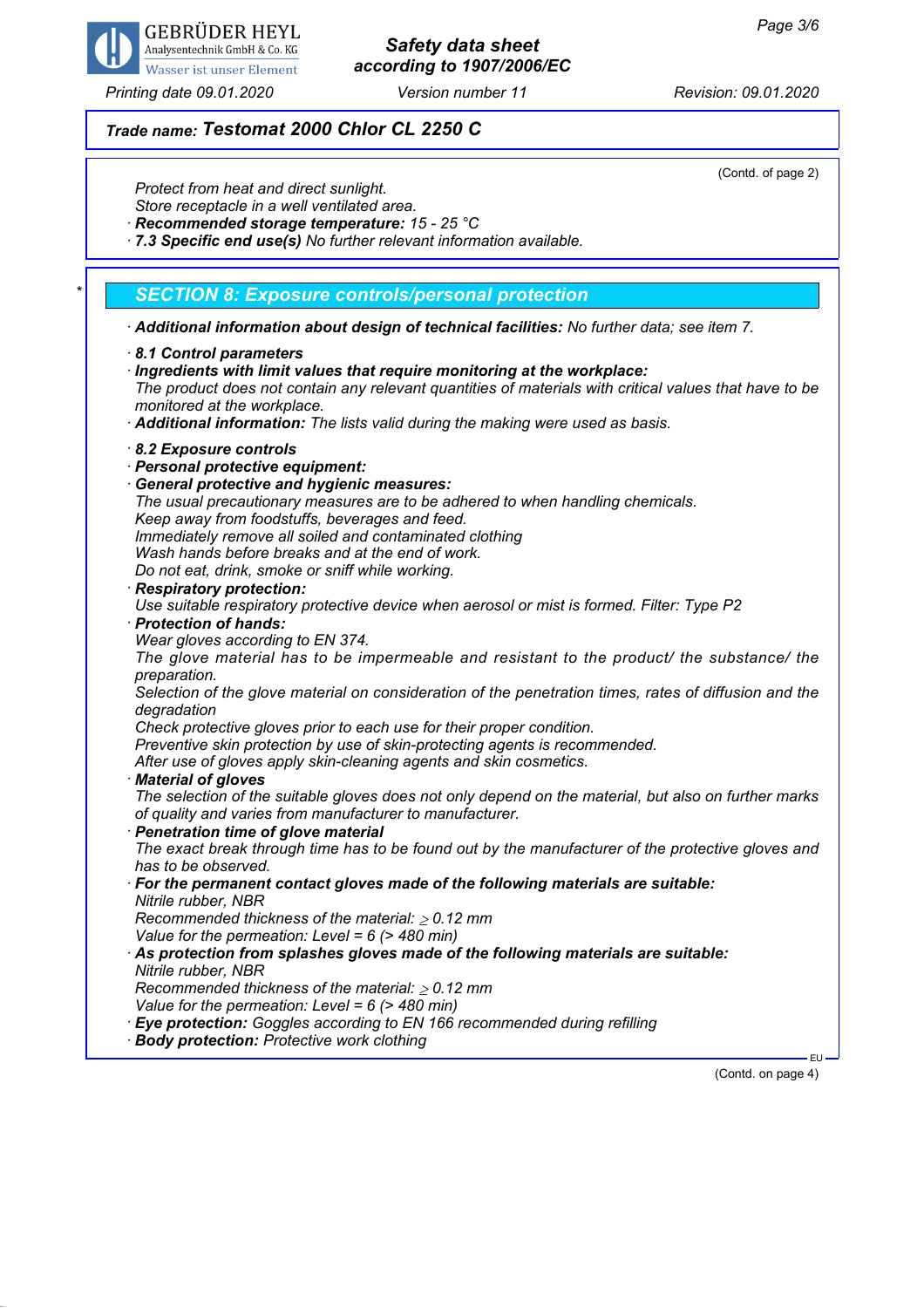

### *Printing date 09.01.2020 Version number 11 Revision: 09.01.2020*

## *Safety data sheet according to 1907/2006/EC*

# *Trade name: Testomat 2000 Chlor CL 2250 C*

(Contd. of page 2)

| OUTION OF PUYO 47<br>Protect from heat and direct sunlight.<br>Store receptacle in a well ventilated area.<br>Recommended storage temperature: 15 - 25 °C<br>7.3 Specific end use(s) No further relevant information available.                                                                                                                                                                                                                                                                                                                                                                                                                                                                                                                                                                                                                                                                                                                                                                                                                                                                                                                                                                                                                                                                                                                                                                                                                                                                                                                                                                                                                                                                                                                               |
|---------------------------------------------------------------------------------------------------------------------------------------------------------------------------------------------------------------------------------------------------------------------------------------------------------------------------------------------------------------------------------------------------------------------------------------------------------------------------------------------------------------------------------------------------------------------------------------------------------------------------------------------------------------------------------------------------------------------------------------------------------------------------------------------------------------------------------------------------------------------------------------------------------------------------------------------------------------------------------------------------------------------------------------------------------------------------------------------------------------------------------------------------------------------------------------------------------------------------------------------------------------------------------------------------------------------------------------------------------------------------------------------------------------------------------------------------------------------------------------------------------------------------------------------------------------------------------------------------------------------------------------------------------------------------------------------------------------------------------------------------------------|
| <b>SECTION 8: Exposure controls/personal protection</b>                                                                                                                                                                                                                                                                                                                                                                                                                                                                                                                                                                                                                                                                                                                                                                                                                                                                                                                                                                                                                                                                                                                                                                                                                                                                                                                                                                                                                                                                                                                                                                                                                                                                                                       |
| · Additional information about design of technical facilities: No further data; see item 7.                                                                                                                                                                                                                                                                                                                                                                                                                                                                                                                                                                                                                                                                                                                                                                                                                                                                                                                                                                                                                                                                                                                                                                                                                                                                                                                                                                                                                                                                                                                                                                                                                                                                   |
| 8.1 Control parameters<br>Ingredients with limit values that require monitoring at the workplace:<br>The product does not contain any relevant quantities of materials with critical values that have to be<br>monitored at the workplace.<br>Additional information: The lists valid during the making were used as basis.                                                                                                                                                                                                                                                                                                                                                                                                                                                                                                                                                                                                                                                                                                                                                                                                                                                                                                                                                                                                                                                                                                                                                                                                                                                                                                                                                                                                                                   |
| 8.2 Exposure controls<br>· Personal protective equipment:<br><b>General protective and hygienic measures:</b><br>The usual precautionary measures are to be adhered to when handling chemicals.<br>Keep away from foodstuffs, beverages and feed.<br>Immediately remove all soiled and contaminated clothing<br>Wash hands before breaks and at the end of work.<br>Do not eat, drink, smoke or sniff while working.<br>· Respiratory protection:<br>Use suitable respiratory protective device when aerosol or mist is formed. Filter: Type P2<br>· Protection of hands:<br>Wear gloves according to EN 374.<br>The glove material has to be impermeable and resistant to the product/ the substance/ the<br>preparation.<br>Selection of the glove material on consideration of the penetration times, rates of diffusion and the<br>degradation<br>Check protective gloves prior to each use for their proper condition.<br>Preventive skin protection by use of skin-protecting agents is recommended.<br>After use of gloves apply skin-cleaning agents and skin cosmetics.<br>· Material of gloves<br>The selection of the suitable gloves does not only depend on the material, but also on further marks<br>of quality and varies from manufacturer to manufacturer.<br>· Penetration time of glove material<br>The exact break through time has to be found out by the manufacturer of the protective gloves and<br>has to be observed.<br>· For the permanent contact gloves made of the following materials are suitable:<br>Nitrile rubber, NBR<br>Recommended thickness of the material: $\geq 0.12$ mm<br>Value for the permeation: Level = $6$ (> 480 min)<br>As protection from splashes gloves made of the following materials are suitable: |
| Nitrile rubber, NBR<br>Recommended thickness of the material: $\geq 0.12$ mm<br>Value for the permeation: Level = $6$ (> 480 min)<br><b>Eye protection:</b> Goggles according to EN 166 recommended during refilling<br>· Body protection: Protective work clothing                                                                                                                                                                                                                                                                                                                                                                                                                                                                                                                                                                                                                                                                                                                                                                                                                                                                                                                                                                                                                                                                                                                                                                                                                                                                                                                                                                                                                                                                                           |
| EU-                                                                                                                                                                                                                                                                                                                                                                                                                                                                                                                                                                                                                                                                                                                                                                                                                                                                                                                                                                                                                                                                                                                                                                                                                                                                                                                                                                                                                                                                                                                                                                                                                                                                                                                                                           |

(Contd. on page 4)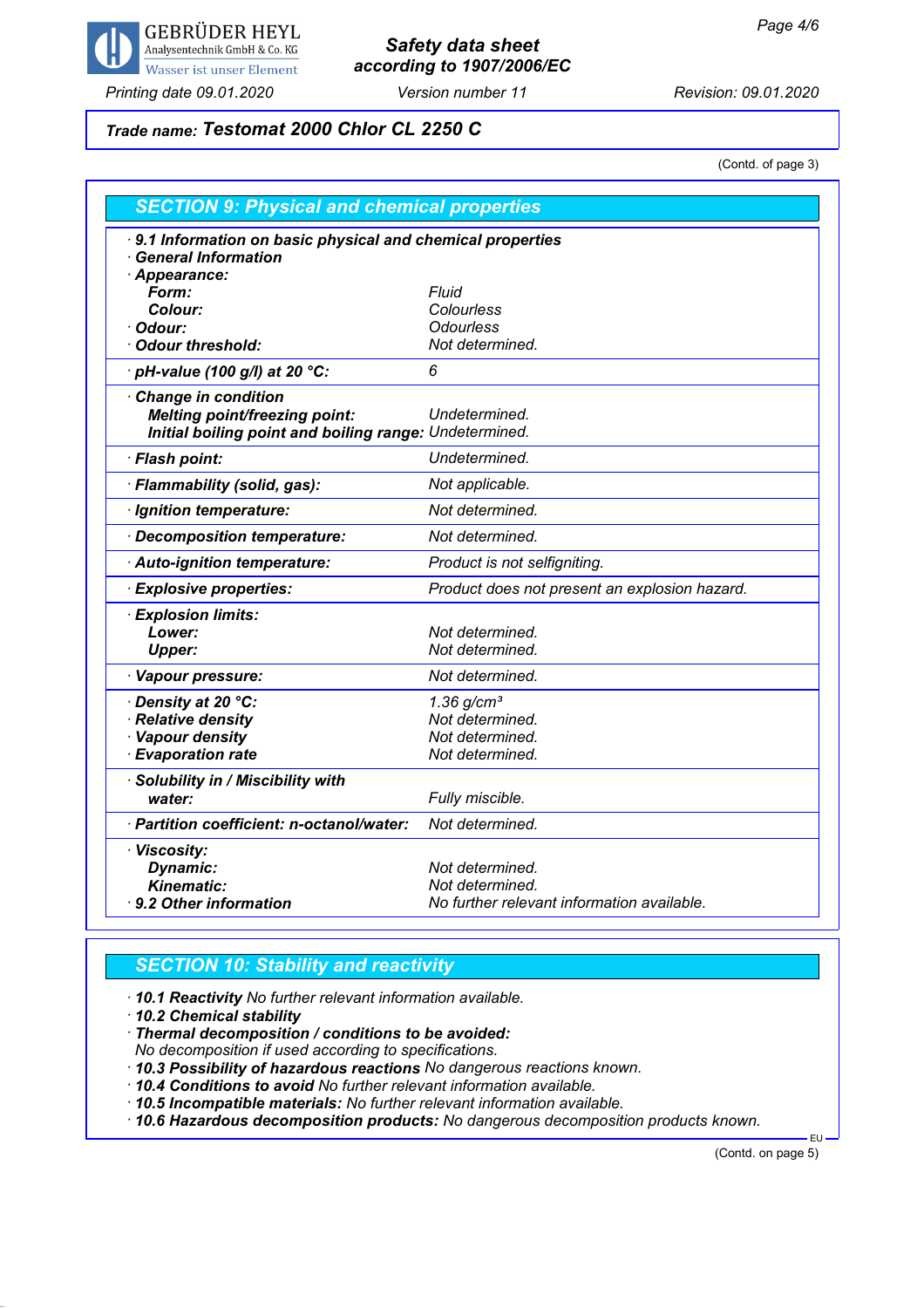

## *Safety data sheet according to 1907/2006/EC*

*Printing date 09.01.2020 Version number 11 Revision: 09.01.2020*

## *Trade name: Testomat 2000 Chlor CL 2250 C*

(Contd. of page 3)

| <b>SECTION 9: Physical and chemical properties</b>     |                                                           |  |  |
|--------------------------------------------------------|-----------------------------------------------------------|--|--|
| <b>General Information</b><br>Appearance:              | 9.1 Information on basic physical and chemical properties |  |  |
| Form:                                                  | <b>Fluid</b>                                              |  |  |
| Colour:                                                | Colourless                                                |  |  |
| Odour:                                                 | <b>Odourless</b>                                          |  |  |
| <b>Odour threshold:</b>                                | Not determined.                                           |  |  |
| pH-value (100 g/l) at 20 °C:                           | 6                                                         |  |  |
| <b>Change in condition</b>                             |                                                           |  |  |
| <b>Melting point/freezing point:</b>                   | Undetermined.                                             |  |  |
| Initial boiling point and boiling range: Undetermined. |                                                           |  |  |
| · Flash point:                                         | Undetermined.                                             |  |  |
| · Flammability (solid, gas):                           | Not applicable.                                           |  |  |
| · Ignition temperature:                                | Not determined.                                           |  |  |
| · Decomposition temperature:                           | Not determined.                                           |  |  |
| · Auto-ignition temperature:                           | Product is not selfigniting.                              |  |  |
| <b>Explosive properties:</b>                           | Product does not present an explosion hazard.             |  |  |
| · Explosion limits:                                    |                                                           |  |  |
| Lower:                                                 | Not determined.                                           |  |  |
| <b>Upper:</b>                                          | Not determined.                                           |  |  |
| · Vapour pressure:                                     | Not determined.                                           |  |  |
| · Density at 20 °C:                                    | $1.36$ g/cm <sup>3</sup>                                  |  |  |
| <b>Relative density</b>                                | Not determined.                                           |  |  |
| <b>Vapour density</b>                                  | Not determined.                                           |  |  |
| <b>Evaporation rate</b>                                | Not determined.                                           |  |  |
| · Solubility in / Miscibility with                     |                                                           |  |  |
| water:                                                 | Fully miscible.                                           |  |  |
| · Partition coefficient: n-octanol/water:              | Not determined.                                           |  |  |
| · Viscosity:                                           |                                                           |  |  |
| <b>Dynamic:</b>                                        | Not determined.                                           |  |  |
| <b>Kinematic:</b>                                      | Not determined.                                           |  |  |
| 9.2 Other information                                  | No further relevant information available.                |  |  |

### *SECTION 10: Stability and reactivity*

*· 10.1 Reactivity No further relevant information available.*

*· 10.2 Chemical stability*

*· Thermal decomposition / conditions to be avoided:*

*No decomposition if used according to specifications.*

*· 10.3 Possibility of hazardous reactions No dangerous reactions known.*

*· 10.4 Conditions to avoid No further relevant information available.*

*· 10.5 Incompatible materials: No further relevant information available.*

*· 10.6 Hazardous decomposition products: No dangerous decomposition products known.*

(Contd. on page 5)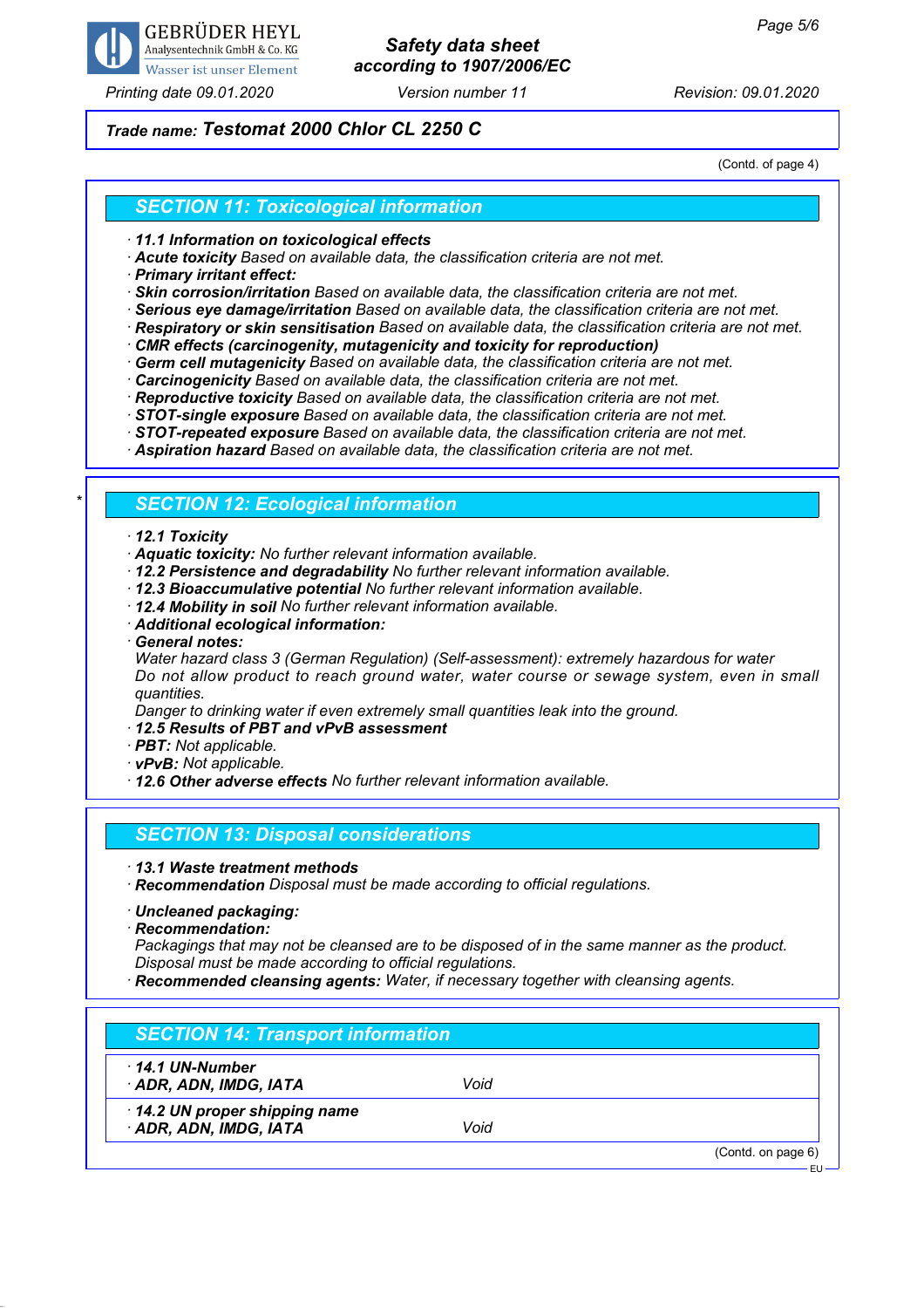

### *Printing date 09.01.2020 Version number 11 Revision: 09.01.2020*

## *Safety data sheet according to 1907/2006/EC*

### *Trade name: Testomat 2000 Chlor CL 2250 C*

(Contd. of page 4)

#### *SECTION 11: Toxicological information*

*· 11.1 Information on toxicological effects*

*· Acute toxicity Based on available data, the classification criteria are not met.*

*· Primary irritant effect:*

*· Skin corrosion/irritation Based on available data, the classification criteria are not met.*

*· Serious eye damage/irritation Based on available data, the classification criteria are not met.*

*· Respiratory or skin sensitisation Based on available data, the classification criteria are not met.*

*· CMR effects (carcinogenity, mutagenicity and toxicity for reproduction)*

*· Germ cell mutagenicity Based on available data, the classification criteria are not met.*

*· Carcinogenicity Based on available data, the classification criteria are not met.*

*· Reproductive toxicity Based on available data, the classification criteria are not met.*

*· STOT-single exposure Based on available data, the classification criteria are not met.*

*· STOT-repeated exposure Based on available data, the classification criteria are not met.*

*· Aspiration hazard Based on available data, the classification criteria are not met.*

#### *\* SECTION 12: Ecological information*

#### *· 12.1 Toxicity*

*· Aquatic toxicity: No further relevant information available.*

*· 12.2 Persistence and degradability No further relevant information available.*

*· 12.3 Bioaccumulative potential No further relevant information available.*

*· 12.4 Mobility in soil No further relevant information available.*

*· Additional ecological information:*

*· General notes:*

*Water hazard class 3 (German Regulation) (Self-assessment): extremely hazardous for water Do not allow product to reach ground water, water course or sewage system, even in small quantities.*

*Danger to drinking water if even extremely small quantities leak into the ground.*

*· 12.5 Results of PBT and vPvB assessment*

*· PBT: Not applicable.*

*· vPvB: Not applicable.*

*· 12.6 Other adverse effects No further relevant information available.*

#### *SECTION 13: Disposal considerations*

*· 13.1 Waste treatment methods*

*· Recommendation Disposal must be made according to official regulations.*

*· Uncleaned packaging:*

*· Recommendation:*

*Packagings that may not be cleansed are to be disposed of in the same manner as the product. Disposal must be made according to official regulations.*

*· Recommended cleansing agents: Water, if necessary together with cleansing agents.*

#### *SECTION 14: Transport information*

*· 14.1 UN-Number*

*· ADR, ADN, IMDG, IATA Void*

*· 14.2 UN proper shipping name*

*· ADR, ADN, IMDG, IATA Void*

(Contd. on page 6)